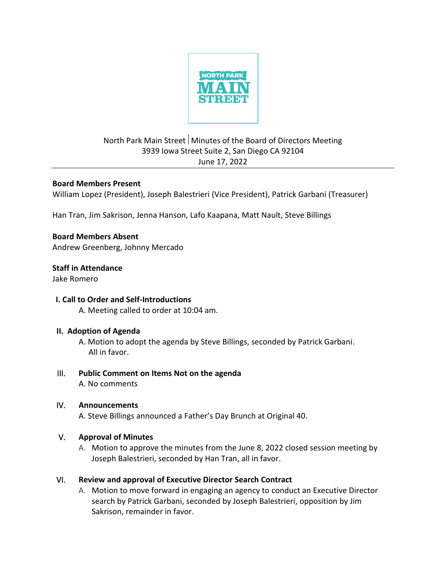

# North Park Main Street Minutes of the Board of Directors Meeting 3939 Iowa Street Suite 2, San Diego CA 92104 June 17, 2022

## **Board Members Present**

William Lopez (President), Joseph Balestrieri (Vice President), Patrick Garbani (Treasurer)

Han Tran, Jim Sakrison, Jenna Hanson, Lafo Kaapana, Matt Nault, Steve Billings

# **Board Members Absent**

Andrew Greenberg, Johnny Mercado

# **Staff in Attendance**

Jake Romero

## **I. Call to Order and Self-Introductions**

A. Meeting called to order at 10:04 am.

## **II. Adoption of Agenda**

 A. Motion to adopt the agenda by Steve Billings, seconded by Patrick Garbani. All in favor.

# III. **Public Comment on Items Not on the agenda**

A. No comments

## IV. **Announcements**

A. Steve Billings announced a Father's Day Brunch at Original 40.

## V. **Approval of Minutes**

A. Motion to approve the minutes from the June 8, 2022 closed session meeting by Joseph Balestrieri, seconded by Han Tran, all in favor.

# VI. **Review and approval of Executive Director Search Contract**

A. Motion to move forward in engaging an agency to conduct an Executive Director search by Patrick Garbani, seconded by Joseph Balestrieri, opposition by Jim Sakrison, remainder in favor.